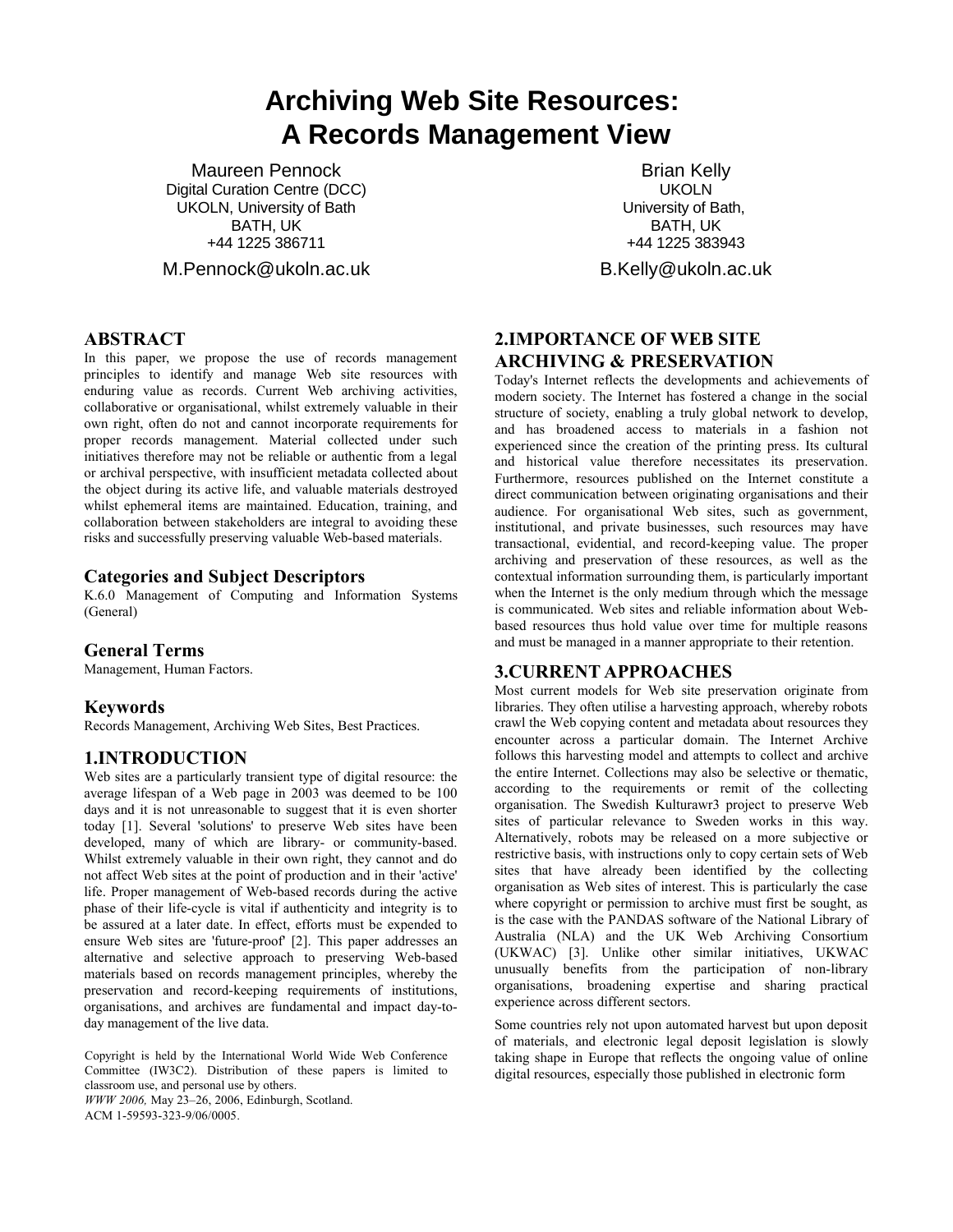# **Archiving Web Site Resources: A Records Management View**

Maureen Pennock Digital Curation Centre (DCC) UKOLN, University of Bath BATH, UK +44 1225 386711

M.Pennock@ukoln.ac.uk

#### **ABSTRACT**

In this paper, we propose the use of records management principles to identify and manage Web site resources with enduring value as records. Current Web archiving activities, collaborative or organisational, whilst extremely valuable in their own right, often do not and cannot incorporate requirements for proper records management. Material collected under such initiatives therefore may not be reliable or authentic from a legal or archival perspective, with insufficient metadata collected about the object during its active life, and valuable materials destroyed whilst ephemeral items are maintained. Education, training, and collaboration between stakeholders are integral to avoiding these risks and successfully preserving valuable Web-based materials.

#### **Categories and Subject Descriptors**

K.6.0 Management of Computing and Information Systems (General)

#### **General Terms**

Management, Human Factors.

#### **Keywords**

Records Management, Archiving Web Sites, Best Practices.

#### **1.INTRODUCTION**

Web sites are a particularly transient type of digital resource: the average lifespan of a Web page in 2003 was deemed to be 100 days and it is not unreasonable to suggest that it is even shorter today [1]. Several 'solutions' to preserve Web sites have been developed, many of which are library- or community-based. Whilst extremely valuable in their own right, they cannot and do not affect Web sites at the point of production and in their 'active' life. Proper management of Web-based records during the active phase of their life-cycle is vital if authenticity and integrity is to be assured at a later date. In effect, efforts must be expended to ensure Web sites are 'future-proof' [2]. This paper addresses an alternative and selective approach to preserving Web-based materials based on records management principles, whereby the preservation and record-keeping requirements of institutions, organisations, and archives are fundamental and impact day-today management of the live data.

Copyright is held by the International World Wide Web Conference Committee (IW3C2). Distribution of these papers is limited to classroom use, and personal use by others. *WWW 2006,* May 23–26, 2006, Edinburgh, Scotland.

ACM 1-59593-323-9/06/0005.

Brian Kelly UKOLN University of Bath, BATH, UK +44 1225 383943

B.Kelly@ukoln.ac.uk

# **2.IMPORTANCE OF WEB SITE ARCHIVING & PRESERVATION**

Today's Internet reflects the developments and achievements of modern society. The Internet has fostered a change in the social structure of society, enabling a truly global network to develop, and has broadened access to materials in a fashion not experienced since the creation of the printing press. Its cultural and historical value therefore necessitates its preservation. Furthermore, resources published on the Internet constitute a direct communication between originating organisations and their audience. For organisational Web sites, such as government, institutional, and private businesses, such resources may have transactional, evidential, and record-keeping value. The proper archiving and preservation of these resources, as well as the contextual information surrounding them, is particularly important when the Internet is the only medium through which the message is communicated. Web sites and reliable information about Webbased resources thus hold value over time for multiple reasons and must be managed in a manner appropriate to their retention.

#### **3.CURRENT APPROACHES**

Most current models for Web site preservation originate from libraries. They often utilise a harvesting approach, whereby robots crawl the Web copying content and metadata about resources they encounter across a particular domain. The Internet Archive follows this harvesting model and attempts to collect and archive the entire Internet. Collections may also be selective or thematic, according to the requirements or remit of the collecting organisation. The Swedish Kulturawr3 project to preserve Web sites of particular relevance to Sweden works in this way. Alternatively, robots may be released on a more subjective or restrictive basis, with instructions only to copy certain sets of Web sites that have already been identified by the collecting organisation as Web sites of interest. This is particularly the case where copyright or permission to archive must first be sought, as is the case with the PANDAS software of the National Library of Australia (NLA) and the UK Web Archiving Consortium (UKWAC) [3]. Unlike other similar initiatives, UKWAC unusually benefits from the participation of non-library organisations, broadening expertise and sharing practical experience across different sectors.

Some countries rely not upon automated harvest but upon deposit of materials, and electronic legal deposit legislation is slowly taking shape in Europe that reflects the ongoing value of online digital resources, especially those published in electronic form